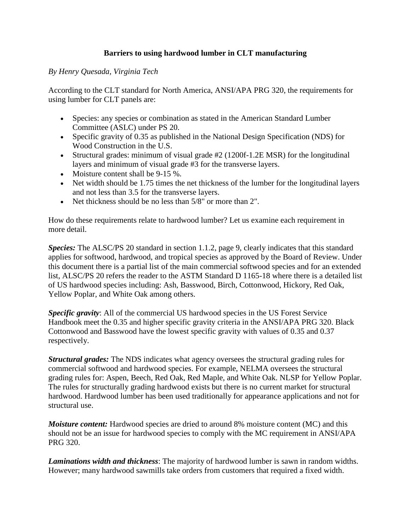## **Barriers to using hardwood lumber in CLT manufacturing**

## *By Henry Quesada, Virginia Tech*

According to the CLT standard for North America, ANSI/APA PRG 320, the requirements for using lumber for CLT panels are:

- Species: any species or combination as stated in the American Standard Lumber Committee (ASLC) under PS 20.
- Specific gravity of 0.35 as published in the National Design Specification (NDS) for Wood Construction in the U.S.
- Structural grades: minimum of visual grade #2 (1200f-1.2E MSR) for the longitudinal layers and minimum of visual grade #3 for the transverse layers.
- Moisture content shall be 9-15 %.
- Net width should be 1.75 times the net thickness of the lumber for the longitudinal layers and not less than 3.5 for the transverse layers.
- Net thickness should be no less than 5/8" or more than 2".

How do these requirements relate to hardwood lumber? Let us examine each requirement in more detail.

*Species:* The ALSC/PS 20 standard in section 1.1.2, page 9, clearly indicates that this standard applies for softwood, hardwood, and tropical species as approved by the Board of Review. Under this document there is a partial list of the main commercial softwood species and for an extended list, ALSC/PS 20 refers the reader to the ASTM Standard D 1165-18 where there is a detailed list of US hardwood species including: Ash, Basswood, Birch, Cottonwood, Hickory, Red Oak, Yellow Poplar, and White Oak among others.

*Specific gravity*: All of the commercial US hardwood species in the US Forest Service Handbook meet the 0.35 and higher specific gravity criteria in the ANSI/APA PRG 320. Black Cottonwood and Basswood have the lowest specific gravity with values of 0.35 and 0.37 respectively.

*Structural grades:* The NDS indicates what agency oversees the structural grading rules for commercial softwood and hardwood species. For example, NELMA oversees the structural grading rules for: Aspen, Beech, Red Oak, Red Maple, and White Oak. NLSP for Yellow Poplar. The rules for structurally grading hardwood exists but there is no current market for structural hardwood. Hardwood lumber has been used traditionally for appearance applications and not for structural use.

*Moisture content:* Hardwood species are dried to around 8% moisture content (MC) and this should not be an issue for hardwood species to comply with the MC requirement in ANSI/APA PRG 320.

*Laminations width and thickness*: The majority of hardwood lumber is sawn in random widths. However; many hardwood sawmills take orders from customers that required a fixed width.